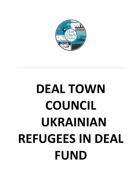

# **DEAL TOWN COUNCIL UKRAINIAN REFUGEES IN DEAL FUND**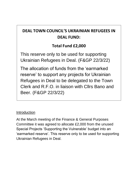# **DEAL TOWN COUNCIL'S UKRAINIAN REFUGEES IN DEAL FUND:**

# **Total Fund £2,000**

This reserve only to be used for supporting Ukrainian Refugees in Deal. (F&GP 22/3/22)

The allocation of funds from the 'earmarked reserve' to support any projects for Ukrainian Refugees in Deal to be delegated to the Town Clerk and R.F.O. in liaison with Cllrs Bano and Beer. (F&GP 22/3/22)

# Introduction

At the March meeting of the Finance & General Purposes Committee it was agreed to allocate £2,000 from the unused Special Projects 'Supporting the Vulnerable' budget into an 'earmarked reserve'. This reserve only to be used for supporting Ukrainian Refugees in Deal.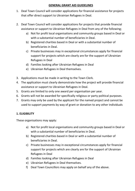## **GENERAL GRANT AID GUIDELINES**

- 1. Deal Town Council will consider applications for financial assistance for projects that offer direct support to Ukrainian Refugees in Deal.
- 2. Deal Town Council will consider applications for projects that provide financial assistance or support to Ukrainian Refugees in Deal from any of the following;
	- a) Not for profit local organisations and community groups based in Deal or with a substantial number of beneficiaries in Deal.
	- b) Registered charities based in Deal or with a substantial number of beneficiaries in Deal.
	- c) Private businesses may in exceptional circumstances apply for financial support for projects which are clearly are for the support of Ukrainian Refugees in Deal
	- d) Families looking after Ukrainian Refugees in Deal
	- e) Ukrainian Refugees in Deal themselves.
- 3. Applications must be made in writing to the Town Clerk.
- 4. The application must clearly demonstrate how the project will provide financial assistance or support to Ukrainian Refugees in Deal.
- 5. Grants are limited to only one award per organisation per year.
- 6. Grants will not be awarded for specifically religious or party political purposes.
- 7. Grants may only be used by the applicant for the named project and cannot be used to support payments by way of grant or donation to any other individuals

## **1. ELIGIBILITY**

These organisations may apply:

- a) Not for profit local organisations and community groups based in Deal or with a substantial number of beneficiaries in Deal.
- b) Registered charities based in Deal or with a substantial number of beneficiaries in Deal.
- c) Private businesses may in exceptional circumstances apply for financial support for projects which are clearly are for the support of Ukrainian Refugees in Deal
- d) Families looking after Ukrainian Refugees in Deal
- e) Ukrainian Refugees in Deal themselves.
- f) Deal Town Councillors may apply on behalf any of the above.